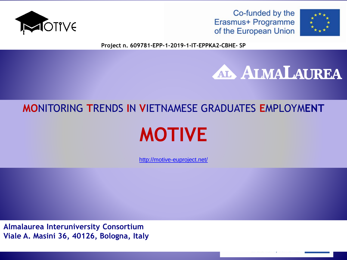





**Project n. 609781-EPP-1-2019-1-IT-EPPKA2-CBHE- SP**

# **ALMALAUREA**

# **MO**NITORING **T**RENDS **I**N **V**IETNAMESE GRADUATES **E**MPLOYM**ENT**

# **MOTIVE**

<http://motive-euproject.net/>

**Almalaurea Interuniversity Consortium Viale A. Masini 36, 40126, Bologna, Italy**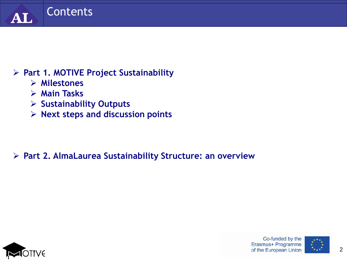

### **Part 1. MOTIVE Project Sustainability**

- **Milestones**
- **Main Tasks**
- **Sustainability Outputs**
- **Next steps and discussion points**

# **Part 2. AlmaLaurea Sustainability Structure: an overview**



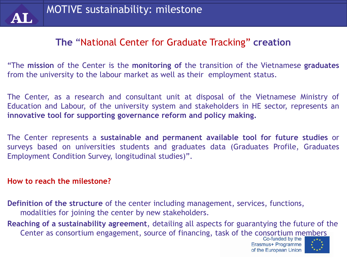

# **The** "National Center for Graduate Tracking" **creation**

"The **mission** of the Center is the **monitoring of** the transition of the Vietnamese **graduates** from the university to the labour market as well as their employment status.

The Center, as a research and consultant unit at disposal of the Vietnamese Ministry of Education and Labour, of the university system and stakeholders in HE sector, represents an **innovative tool for supporting governance reform and policy making.**

The Center represents a **sustainable and permanent available tool for future studies** or surveys based on universities students and graduates data (Graduates Profile, Graduates Employment Condition Survey, longitudinal studies)".

#### **How to reach the milestone?**

**Definition of the structure** of the center including management, services, functions, modalities for joining the center by new stakeholders.

**Reaching of a sustainability agreement**, detailing all aspects for guarantying the future of the Center as consortium engagement, source of financing, task of the consortium members<br>Co-funded by the

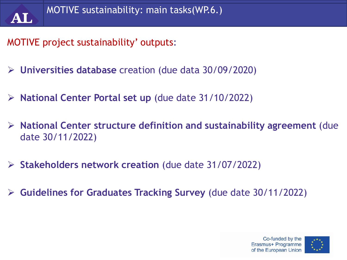

# MOTIVE project sustainability' outputs:

- **Universities database** creation (due data 30/09/2020)
- **National Center Portal set up** (due date 31/10/2022)
- **National Center structure definition and sustainability agreement** (due date 30/11/2022)
- **Stakeholders network creation** (due date 31/07/2022)
- **Guidelines for Graduates Tracking Survey** (due date 30/11/2022)



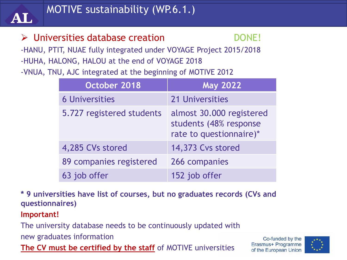

# > Universities database creation DONE!

-HANU, PTIT, NUAE fully integrated under VOYAGE Project 2015/2018 -HUHA, HALONG, HALOU at the end of VOYAGE 2018

-VNUA, TNU, AJC integrated at the beginning of MOTIVE 2012

| October 2018              | <b>May 2022</b>                                                               |
|---------------------------|-------------------------------------------------------------------------------|
| <b>6 Universities</b>     | 21 Universities                                                               |
| 5.727 registered students | almost 30.000 registered<br>students (48% response<br>rate to questionnaire)* |
| 4,285 CVs stored          | 14,373 Cvs stored                                                             |
| 89 companies registered   | 266 companies                                                                 |
| 63 job offer              | 152 job offer                                                                 |

**\* 9 universities have list of courses, but no graduates records (CVs and questionnaires)**

#### **Important!**

The university database needs to be continuously updated with

new graduates information

**The CV must be certified by the staff** of MOTIVE universities

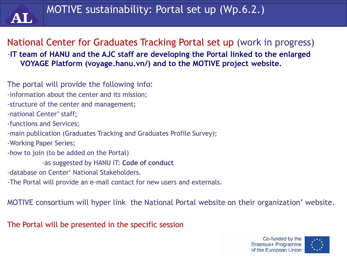

National Center for Graduates Tracking Portal set up (work in progress) -**IT team of HANU and the AJC staff are developing the Portal linked to the enlarged VOYAGE Platform (voyage.hanu.vn/) and to the MOTIVE project website.**

The portal will provide the following info: -information about the center and its mission; -structure of the center and management; -national Center' staff; -functions and Services; -main publication (Graduates Tracking and Graduates Profile Survey); -Working Paper Series; -how to join (to be added on the Portal) -as suggested by HANU IT: **Code of conduct** -database on Center' National Stakeholders. -The Portal will provide an e-mail contact for new users and externals.

MOTIVE consortium will hyper link the National Portal website on their organization' website.

The Portal will be presented in the specific session

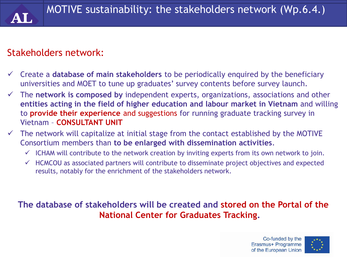# Stakeholders network:

- Create a **database of main stakeholders** to be periodically enquired by the beneficiary universities and MOET to tune up graduates' survey contents before survey launch.
- The **network is composed by** independent experts, organizations, associations and other **entities acting in the field of higher education and labour market in Vietnam** and willing to **provide their experience** and suggestions for running graduate tracking survey in Vietnam – **CONSULTANT UNIT**
- $\checkmark$  The network will capitalize at initial stage from the contact established by the MOTIVE Consortium members than **to be enlarged with dissemination activities**.
	- $\checkmark$  ICHAM will contribute to the network creation by inviting experts from its own network to join.
	- $\checkmark$  HCMCOU as associated partners will contribute to disseminate project objectives and expected results, notably for the enrichment of the stakeholders network.

#### **The database of stakeholders will be created and stored on the Portal of the National Center for Graduates Tracking.**

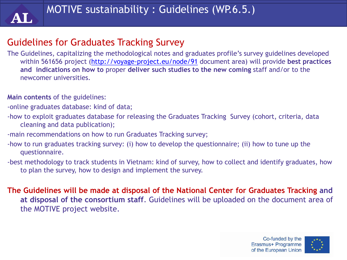

# Guidelines for Graduates Tracking Survey

The Guidelines, capitalizing the methodological notes and graduates profile's survey guidelines developed within 561656 project [\(http://voyage-project.eu/node/91](http://voyage-project.eu/node/91) document area) will provide **best practices and indications on how to** proper **deliver such studies to the new coming** staff and/or to the newcomer universities.

**Main contents** of the guidelines:

-online graduates database: kind of data;

- -how to exploit graduates database for releasing the Graduates Tracking Survey (cohort, criteria, data cleaning and data publication);
- -main recommendations on how to run Graduates Tracking survey;
- -how to run graduates tracking survey: (i) how to develop the questionnaire; (ii) how to tune up the questionnaire.
- -best methodology to track students in Vietnam: kind of survey, how to collect and identify graduates, how to plan the survey, how to design and implement the survey.

**The Guidelines will be made at disposal of the National Center for Graduates Tracking and at disposal of the consortium staff**. Guidelines will be uploaded on the document area of the MOTIVE project website.



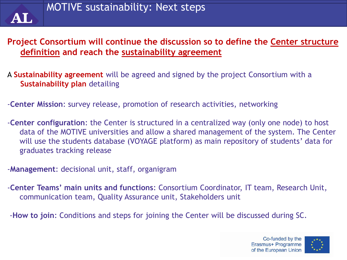

#### **Project Consortium will continue the discussion so to define the Center structure definition and reach the sustainability agreement**

- A **Sustainability agreement** will be agreed and signed by the project Consortium with a **Sustainability plan** detailing
- -**Center Mission**: survey release, promotion of research activities, networking
- -**Center configuration**: the Center is structured in a centralized way (only one node) to host data of the MOTIVE universities and allow a shared management of the system. The Center will use the students database (VOYAGE platform) as main repository of students' data for graduates tracking release
- -**Management**: decisional unit, staff, organigram
- -**Center Teams' main units and functions**: Consortium Coordinator, IT team, Research Unit, communication team, Quality Assurance unit, Stakeholders unit
- -**How to join**: Conditions and steps for joining the Center will be discussed during SC.

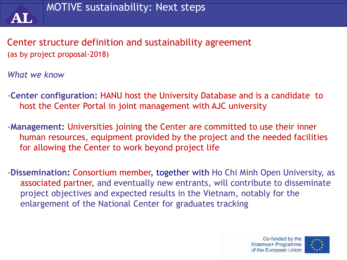

Center structure definition and sustainability agreement (as by project proposal-2018)

*What we know*

- -**Center configuration:** HANU host the University Database and is a candidate to host the Center Portal in joint management with AJC university
- -**Management:** Universities joining the Center are committed to use their inner human resources, equipment provided by the project and the needed facilities for allowing the Center to work beyond project life
- -**Dissemination:** Consortium member, together with Ho Chi Minh Open University, as associated partner, and eventually new entrants, will contribute to disseminate project objectives and expected results in the Vietnam, notably for the enlargement of the National Center for graduates tracking

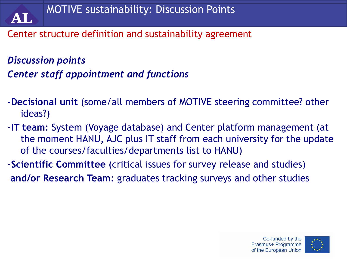Center structure definition and sustainability agreement

*Discussion points Center staff appointment and functions*

- *-***Decisional unit** (some/all members of MOTIVE steering committee? other ideas?)
- -**IT team**: System (Voyage database) and Center platform management (at the moment HANU, AJC plus IT staff from each university for the update of the courses/faculties/departments list to HANU)
- -**Scientific Committee** (critical issues for survey release and studies) **and/or Research Team**: graduates tracking surveys and other studies

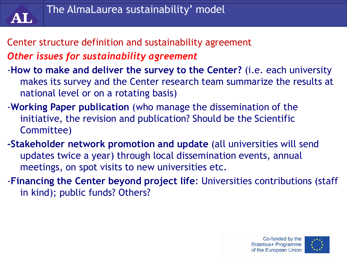

- Center structure definition and sustainability agreement *Other issues for sustainability agreement*
- -**How to make and deliver the survey to the Center?** (i.e. each university makes its survey and the Center research team summarize the results at national level or on a rotating basis)
- -**Working Paper publication** (who manage the dissemination of the initiative, the revision and publication? Should be the Scientific Committee)
- **-Stakeholder network promotion and update** (all universities will send updates twice a year) through local dissemination events, annual meetings, on spot visits to new universities etc.
- -**Financing the Center beyond project life**: Universities contributions (staff in kind); public funds? Others?

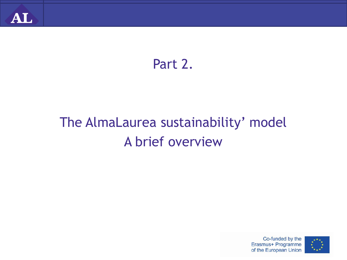

# Part 2.

# The AlmaLaurea sustainability' model A brief overview



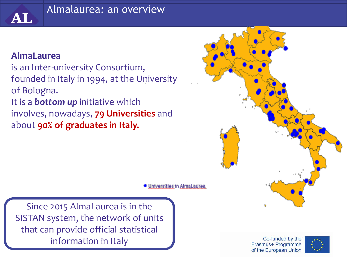### Almalaurea: an overview

#### **AlmaLaurea**

AL

is an Inter-university Consortium, founded in Italy in 1994, at the University of Bologna. It is a *bottom up* initiative which involves, nowadays, **79 Universities** and about **90% of graduates in Italy.**



• Universities in AlmaLaurea

Since 2015 AlmaLaurea is in the SISTAN system, the network of units that can provide official statistical information in Italy

Co-funded by the Erasmus+ Programme of the European Union

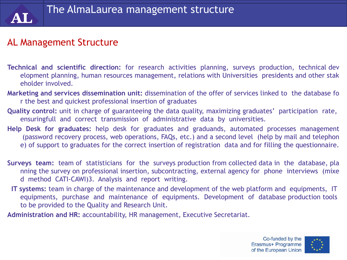### AL Management Structure

- **Technical and scientific direction:** for research activities planning, surveys production, technical dev elopment planning, human resources management, relations with Universities presidents and other stak eholder involved.
- **Marketing and services dissemination unit:** dissemination of the offer of services linked to the database fo r the best and quickest professional insertion of graduates
- **Quality control:** unit in charge of guaranteeing the data quality, maximizing graduates' participation rate, ensuringfull and correct transmission of administrative data by universities.
- **Help Desk for graduates:** help desk for graduates and graduands, automated processes management (password recovery process, web operations, FAQs, etc.) and a second level (help by mail and telephon e) of support to graduates for the correct insertion of registration data and for filling the questionnaire.
- **Surveys team:** team of statisticians for the surveys production from collected data in the database, pla nning the survey on professional insertion, subcontracting, external agency for phone interviews (mixe d method CATI‐CAWI)3. Analysis and report writing.
- **IT systems:** team in charge of the maintenance and development of the web platform and equipments, IT equipments, purchase and maintenance of equipments. Development of database production tools to be provided to the Quality and Research Unit.
- **Administration and HR:** accountability, HR management, Executive Secretariat.

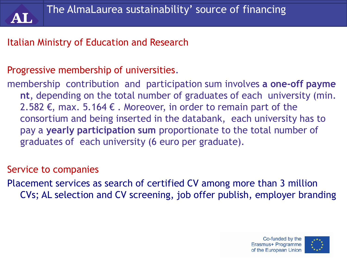# Italian Ministry of Education and Research

# Progressive membership of universities.

membership contribution and participation sum involves **a one‐off payme nt**, depending on the total number of graduates of each university (min. 2.582 €, max. 5.164 €. Moreover, in order to remain part of the consortium and being inserted in the databank, each university has to pay a **yearly participation sum** proportionate to the total number of graduates of each university (6 euro per graduate).

# Service to companies

Placement services as search of certified CV among more than 3 million CVs; AL selection and CV screening, job offer publish, employer branding

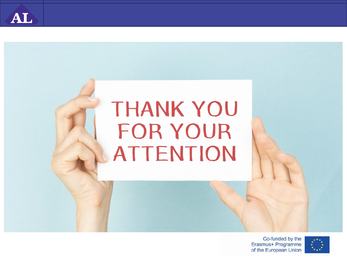

# THANK YOU FOR YOUR **ATTENTION**

Co-funded by the Erasmus+ Programme of the European Union

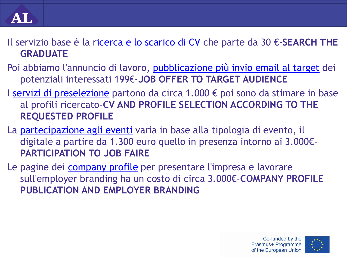Il servizio base è la r[icerca e lo scarico di CV](https://www.almalaurea.it/aziende/cerca) che parte da 30 €-**SEARCH THE GRADUATE**

- Poi abbiamo l'annuncio di lavoro, [pubblicazione più invio email al target](https://www.almalaurea.it/aziende/pubblicaofferta) dei potenziali interessati 199€-**JOB OFFER TO TARGET AUDIENCE**
- I [servizi di preselezione](https://www.almalaurea.it/aziende/screening/al_selezione_laureati) partono da circa 1.000 € poi sono da stimare in base al profili ricercato-**CV AND PROFILE SELECTION ACCORDING TO THE REQUESTED PROFILE**
- La [partecipazione agli eventi](https://www.almalaurea.it/aziende/careerday/al-lavoro-il-career-day-di-almalaurea) varia in base alla tipologia di evento, il digitale a partire da 1.300 euro quello in presenza intorno ai 3.000€- **PARTICIPATION TO JOB FAIRE**
- Le pagine dei *company profile* per presentare l'impresa e lavorare sull'employer branding ha un costo di circa 3.000€-**COMPANY PROFILE PUBLICATION AND EMPLOYER BRANDING**